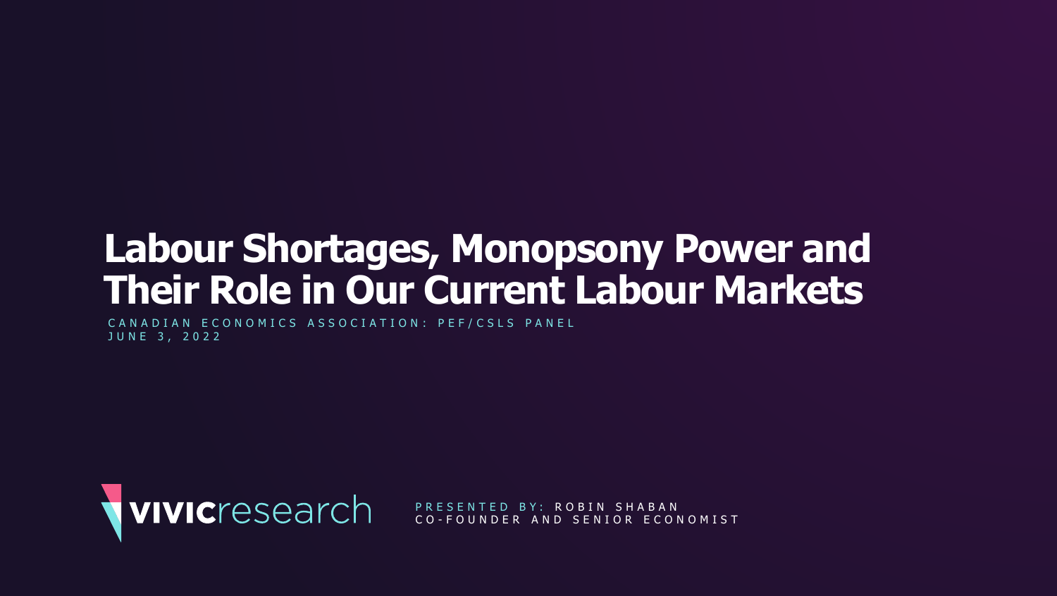# **Labour Shortages, Monopsony Power and Their Role in Our Current Labour Markets**

CANADIAN ECONOMICS ASSOCIATION: PEF/CSLS PANEL J U N E 3 , 2 0 2 2



PRESENTED BY: ROBIN SHABAN C O - F O U N D E R A N D S E N I O R E C O N O M I S T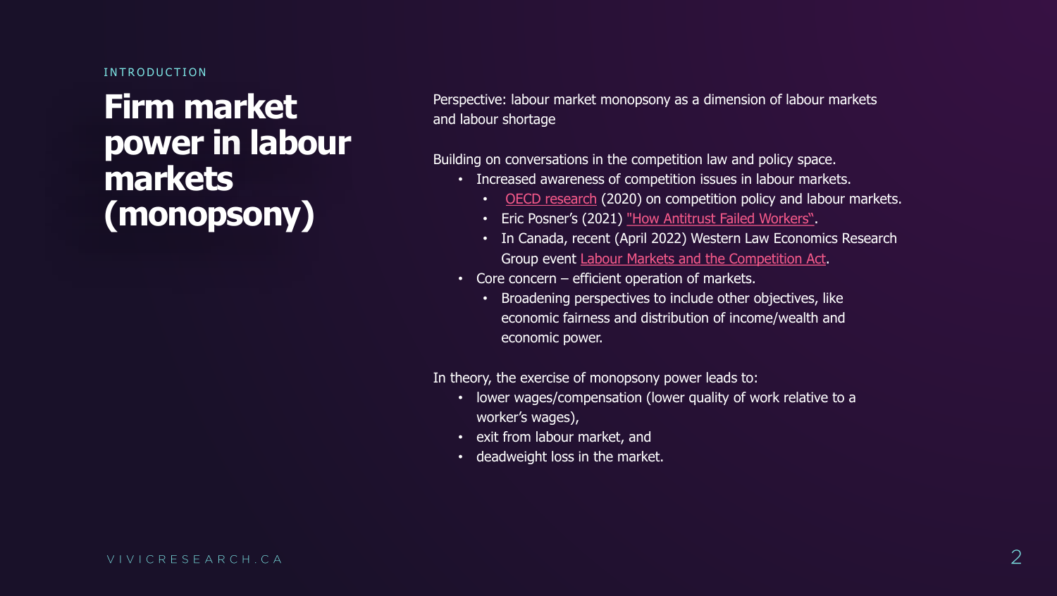INTRODUCTION

**Firm market power in labour markets (monopsony)** 

Perspective: labour market monopsony as a dimension of labour markets and labour shortage

Building on conversations in the competition law and policy space. • Increased awareness of competition issues in labour markets. • [OECD research](https://www.oecd.org/daf/competition/competition-concerns-in-labour-markets.htm#:~:text=In%20June%202019%2C%20the%20OECD,effects%20on%20workers%20and%20consumers.) (2020) on competition policy and labour markets. • Eric Posner's (2021) ["How Antitrust Failed Workers"](https://www.law.uchicago.edu/news/eric-posners-book-how-antitrust-failed-workers-reviewed-boston-review). • In Canada, recent (April 2022) Western Law Economics Research Group event [Labour Markets and the Competition Act](http://www.events.westernu.ca/events/law/2022-04/labour-markets-webinar.html). • Core concern – efficient operation of markets. • Broadening perspectives to include other objectives, like economic fairness and distribution of income/wealth and

- -
	-
	-
- - economic power.

In theory, the exercise of monopsony power leads to: • lower wages/compensation (lower quality of work relative to a

- worker's wages),
- exit from labour market, and
- deadweight loss in the market.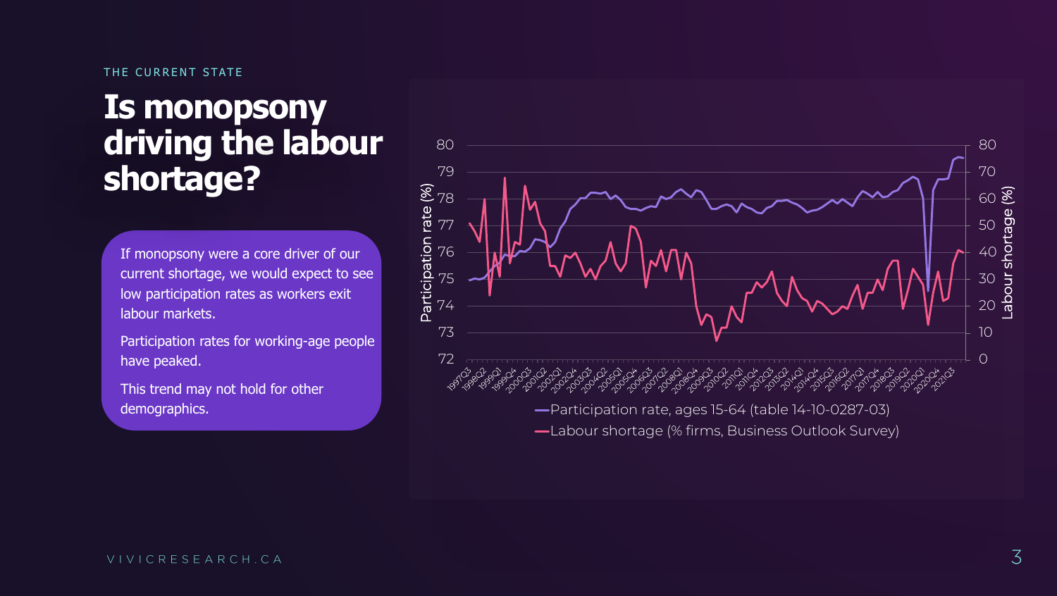### THE CURRENT STATE

### **Is monopsony driving the labour shortage?**

If monopsony were a core driver of our current shortage, we would expect to see low participation rates as workers exit labour markets.

Participation rates for working -age people have peaked.

This trend may not hold for other demographics.

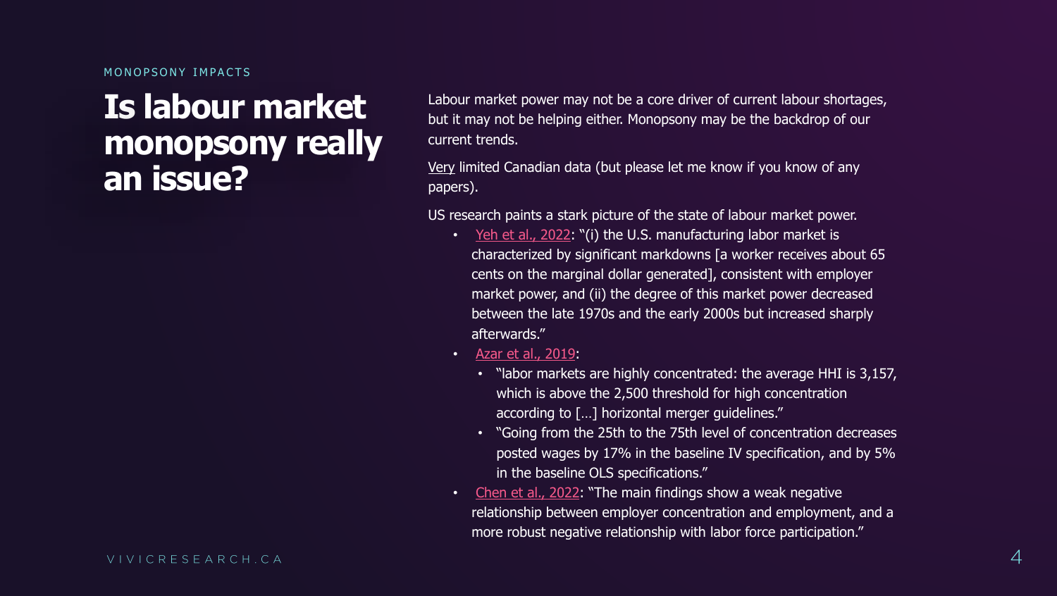MONOPSONY IMPACTS

### **Is labour market monopsony really an issue?**

Labour market power may not be a core driver of current labour shortages, but it may not be helping either. Monopsony may be the backdrop of our current trends.

Very limited Canadian data (but please let me know if you know of any papers).

> • "labor markets are highly concentrated: the average HHI is 3,157, which is above the 2,500 threshold for high concentration

US research paints a stark picture of the state of labour market power. • [Yeh et al., 2022](https://research.upjohn.org/cgi/viewcontent.cgi?article=1383&context=up_workingpapers): "(i) the U.S. manufacturing labor market is characterized by significant markdowns [a worker receives about 65 cents on the marginal dollar generated], consistent with employer market power, and (ii) the degree of this market power decreased between the late 1970s and the early 2000s but increased sharply

according to […] horizontal merger guidelines."

- afterwards."
- [Azar et al., 2019:](https://www.nber.org/system/files/working_papers/w24147/w24147.pdf)
	-
	- in the baseline OLS specifications."
- 

• "Going from the 25th to the 75th level of concentration decreases posted wages by 17% in the baseline IV specification, and by 5%

• [Chen et al., 2022](https://crr.bc.edu/wp-content/uploads/2022/04/IB_22-7.pdf): "The main findings show a weak negative

relationship between employer concentration and employment, and a

more robust negative relationship with labor force participation."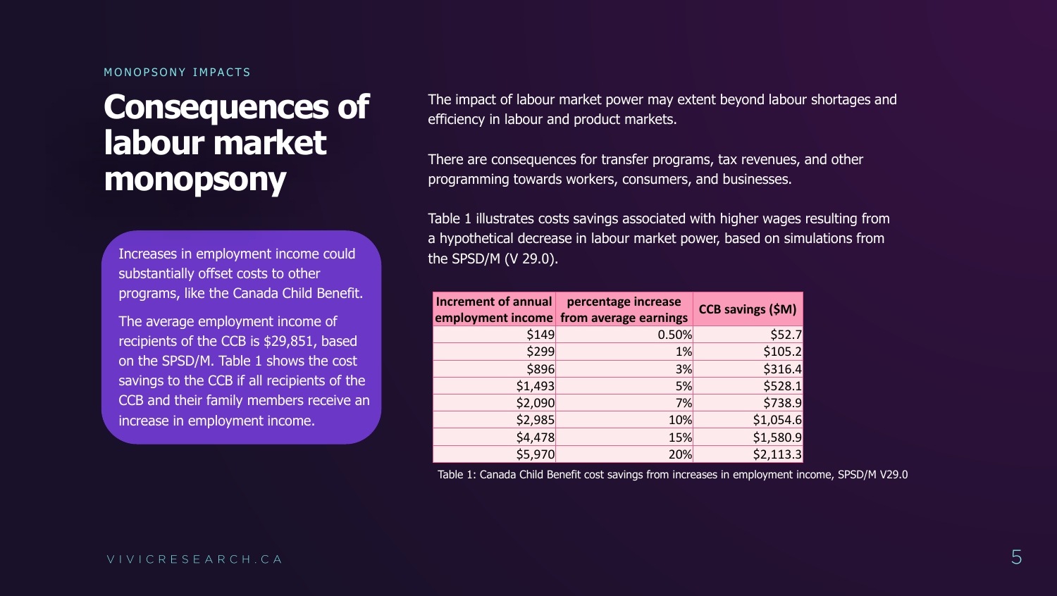### MONOPSONY IMPACTS

### **Consequences of labour market monopsony**

The impact of labour market power may extent beyond labour shortages and efficiency in labour and product markets.

There are consequences for transfer programs, tax revenues, and other programming towards workers, consumers, and businesses.

Table 1 illustrates costs savings associated with higher wages resulting from a hypothetical decrease in labour market power, based on simulations from the SPSD/M (V 29.0).

| <b>Increment of annual</b> | percentage increase<br>employment income from average earnings | <b>CCB savings (\$M)</b> |
|----------------------------|----------------------------------------------------------------|--------------------------|
| \$149                      | 0.50%                                                          | \$52.7                   |
| \$299                      | 1%                                                             | \$105.2                  |
| \$896                      | 3%                                                             | \$316.4                  |
| \$1,493                    | 5%                                                             | \$528.1                  |
| \$2,090                    | 7%                                                             | \$738.9                  |
| \$2,985                    | 10%                                                            | \$1,054.6                |
| \$4,478                    | 15%                                                            | \$1,580.9                |
| \$5,970                    | 20%                                                            | \$2,113.3                |

Table 1: Canada Child Benefit cost savings from increases in employment income, SPSD/M V29.0

Increases in employment income could substantially offset costs to other programs, like the Canada Child Benefit.

The average employment income of recipients of the CCB is \$29,851, based on the SPSD/M. Table 1 shows the cost savings to the CCB if all recipients of the CCB and their family members receive an increase in employment income.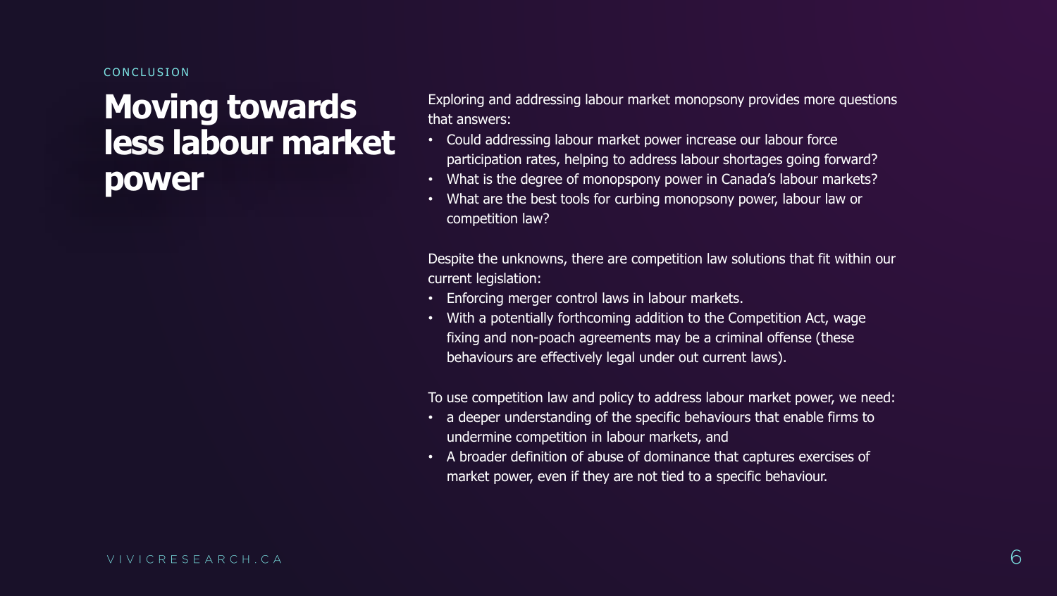## **Moving towards less labour market power**

Exploring and addressing labour market monopsony provides more questions that answers:

• Could addressing labour market power increase our labour force participation rates, helping to address labour shortages going forward? • What is the degree of monopspony power in Canada's labour markets? • What are the best tools for curbing monopsony power, labour law or

• With a potentially forthcoming addition to the Competition Act, wage fixing and non-poach agreements may be a criminal offense (these

- 
- 
- competition law?

Despite the unknowns, there are competition law solutions that fit within our current legislation:

- Enforcing merger control laws in labour markets.
- behaviours are effectively legal under out current laws).

To use competition law and policy to address labour market power, we need: • a deeper understanding of the specific behaviours that enable firms to undermine competition in labour markets, and • A broader definition of abuse of dominance that captures exercises of market power, even if they are not tied to a specific behaviour.

- 
-